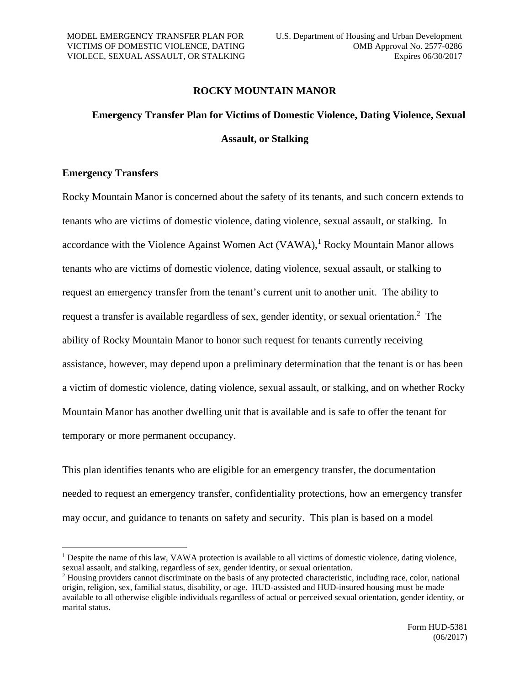# **ROCKY MOUNTAIN MANOR**

# **Emergency Transfer Plan for Victims of Domestic Violence, Dating Violence, Sexual Assault, or Stalking**

# **Emergency Transfers**

Rocky Mountain Manor is concerned about the safety of its tenants, and such concern extends to tenants who are victims of domestic violence, dating violence, sexual assault, or stalking. In accordance with the Violence Against Women Act  $(VAWA)$ , Rocky Mountain Manor allows tenants who are victims of domestic violence, dating violence, sexual assault, or stalking to request an emergency transfer from the tenant's current unit to another unit. The ability to request a transfer is available regardless of sex, gender identity, or sexual orientation.<sup>2</sup> The ability of Rocky Mountain Manor to honor such request for tenants currently receiving assistance, however, may depend upon a preliminary determination that the tenant is or has been a victim of domestic violence, dating violence, sexual assault, or stalking, and on whether Rocky Mountain Manor has another dwelling unit that is available and is safe to offer the tenant for temporary or more permanent occupancy.

This plan identifies tenants who are eligible for an emergency transfer, the documentation needed to request an emergency transfer, confidentiality protections, how an emergency transfer may occur, and guidance to tenants on safety and security. This plan is based on a model

<sup>&</sup>lt;sup>1</sup> Despite the name of this law, VAWA protection is available to all victims of domestic violence, dating violence, sexual assault, and stalking, regardless of sex, gender identity, or sexual orientation.

<sup>2</sup> Housing providers cannot discriminate on the basis of any protected characteristic, including race, color, national origin, religion, sex, familial status, disability, or age. HUD-assisted and HUD-insured housing must be made available to all otherwise eligible individuals regardless of actual or perceived sexual orientation, gender identity, or marital status.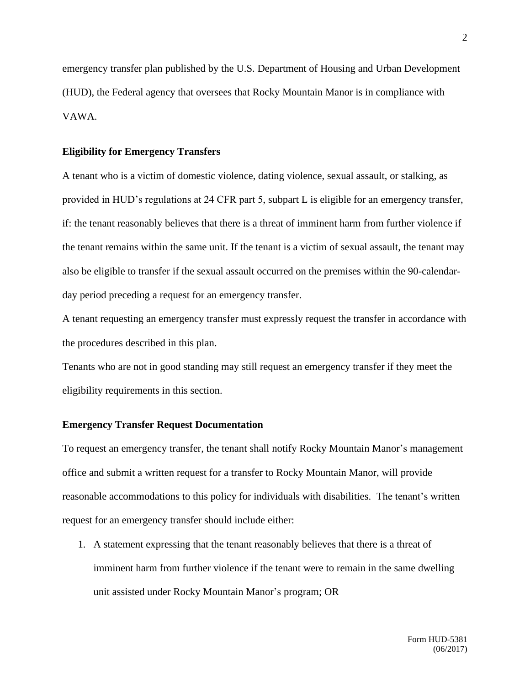emergency transfer plan published by the U.S. Department of Housing and Urban Development (HUD), the Federal agency that oversees that Rocky Mountain Manor is in compliance with VAWA.

## **Eligibility for Emergency Transfers**

A tenant who is a victim of domestic violence, dating violence, sexual assault, or stalking, as provided in HUD's regulations at 24 CFR part 5, subpart L is eligible for an emergency transfer, if: the tenant reasonably believes that there is a threat of imminent harm from further violence if the tenant remains within the same unit. If the tenant is a victim of sexual assault, the tenant may also be eligible to transfer if the sexual assault occurred on the premises within the 90-calendarday period preceding a request for an emergency transfer.

A tenant requesting an emergency transfer must expressly request the transfer in accordance with the procedures described in this plan.

Tenants who are not in good standing may still request an emergency transfer if they meet the eligibility requirements in this section.

## **Emergency Transfer Request Documentation**

To request an emergency transfer, the tenant shall notify Rocky Mountain Manor's management office and submit a written request for a transfer to Rocky Mountain Manor, will provide reasonable accommodations to this policy for individuals with disabilities. The tenant's written request for an emergency transfer should include either:

1. A statement expressing that the tenant reasonably believes that there is a threat of imminent harm from further violence if the tenant were to remain in the same dwelling unit assisted under Rocky Mountain Manor's program; OR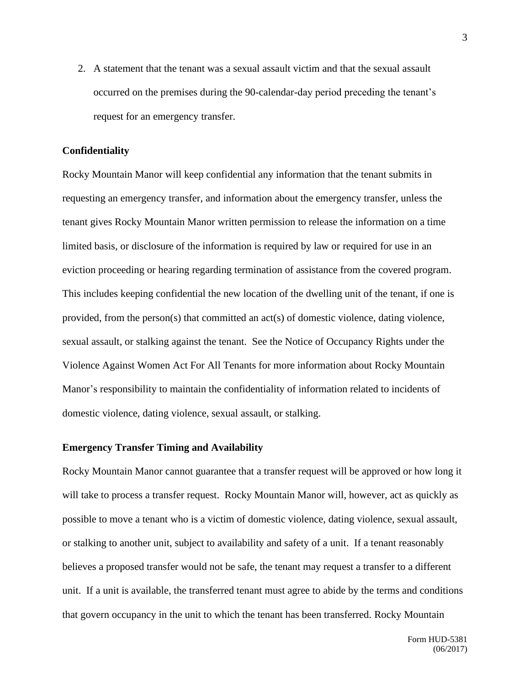2. A statement that the tenant was a sexual assault victim and that the sexual assault occurred on the premises during the 90-calendar-day period preceding the tenant's request for an emergency transfer.

#### **Confidentiality**

Rocky Mountain Manor will keep confidential any information that the tenant submits in requesting an emergency transfer, and information about the emergency transfer, unless the tenant gives Rocky Mountain Manor written permission to release the information on a time limited basis, or disclosure of the information is required by law or required for use in an eviction proceeding or hearing regarding termination of assistance from the covered program. This includes keeping confidential the new location of the dwelling unit of the tenant, if one is provided, from the person(s) that committed an act(s) of domestic violence, dating violence, sexual assault, or stalking against the tenant. See the Notice of Occupancy Rights under the Violence Against Women Act For All Tenants for more information about Rocky Mountain Manor's responsibility to maintain the confidentiality of information related to incidents of domestic violence, dating violence, sexual assault, or stalking.

#### **Emergency Transfer Timing and Availability**

Rocky Mountain Manor cannot guarantee that a transfer request will be approved or how long it will take to process a transfer request. Rocky Mountain Manor will, however, act as quickly as possible to move a tenant who is a victim of domestic violence, dating violence, sexual assault, or stalking to another unit, subject to availability and safety of a unit. If a tenant reasonably believes a proposed transfer would not be safe, the tenant may request a transfer to a different unit. If a unit is available, the transferred tenant must agree to abide by the terms and conditions that govern occupancy in the unit to which the tenant has been transferred. Rocky Mountain